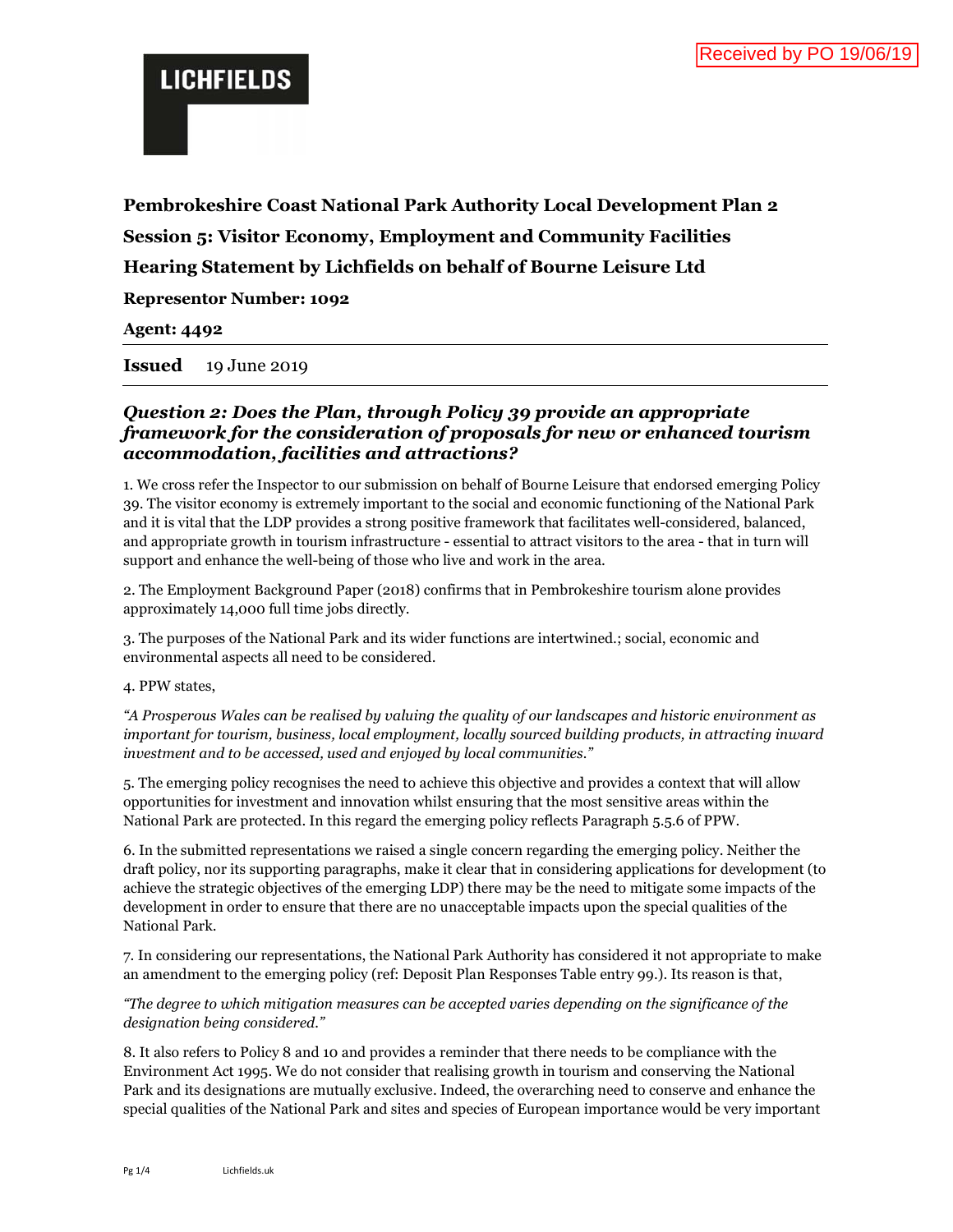**Pembrokeshire Coast National Park Authority Local Development Plan 2 Session 5: Visitor Economy, Employment and Community Facilities**

**Hearing Statement by Lichfields on behalf of Bourne Leisure Ltd** 

**Representor Number: 1092** 

**Agent: 4492**

**Issued** 19 June 2019

## *Question 2: Does the Plan, through Policy 39 provide an appropriate framework for the consideration of proposals for new or enhanced tourism accommodation, facilities and attractions?*

1. We cross refer the Inspector to our submission on behalf of Bourne Leisure that endorsed emerging Policy 39. The visitor economy is extremely important to the social and economic functioning of the National Park and it is vital that the LDP provides a strong positive framework that facilitates well-considered, balanced, and appropriate growth in tourism infrastructure - essential to attract visitors to the area - that in turn will support and enhance the well-being of those who live and work in the area.

2. The Employment Background Paper (2018) confirms that in Pembrokeshire tourism alone provides approximately 14,000 full time jobs directly.

3. The purposes of the National Park and its wider functions are intertwined.; social, economic and environmental aspects all need to be considered.

4. PPW states,

*"A Prosperous Wales can be realised by valuing the quality of our landscapes and historic environment as important for tourism, business, local employment, locally sourced building products, in attracting inward investment and to be accessed, used and enjoyed by local communities."* 

5. The emerging policy recognises the need to achieve this objective and provides a context that will allow opportunities for investment and innovation whilst ensuring that the most sensitive areas within the National Park are protected. In this regard the emerging policy reflects Paragraph 5.5.6 of PPW.

6. In the submitted representations we raised a single concern regarding the emerging policy. Neither the draft policy, nor its supporting paragraphs, make it clear that in considering applications for development (to achieve the strategic objectives of the emerging LDP) there may be the need to mitigate some impacts of the development in order to ensure that there are no unacceptable impacts upon the special qualities of the National Park.

7. In considering our representations, the National Park Authority has considered it not appropriate to make an amendment to the emerging policy (ref: Deposit Plan Responses Table entry 99.). Its reason is that,

*"The degree to which mitigation measures can be accepted varies depending on the significance of the designation being considered."* 

8. It also refers to Policy 8 and 10 and provides a reminder that there needs to be compliance with the Environment Act 1995. We do not consider that realising growth in tourism and conserving the National Park and its designations are mutually exclusive. Indeed, the overarching need to conserve and enhance the special qualities of the National Park and sites and species of European importance would be very important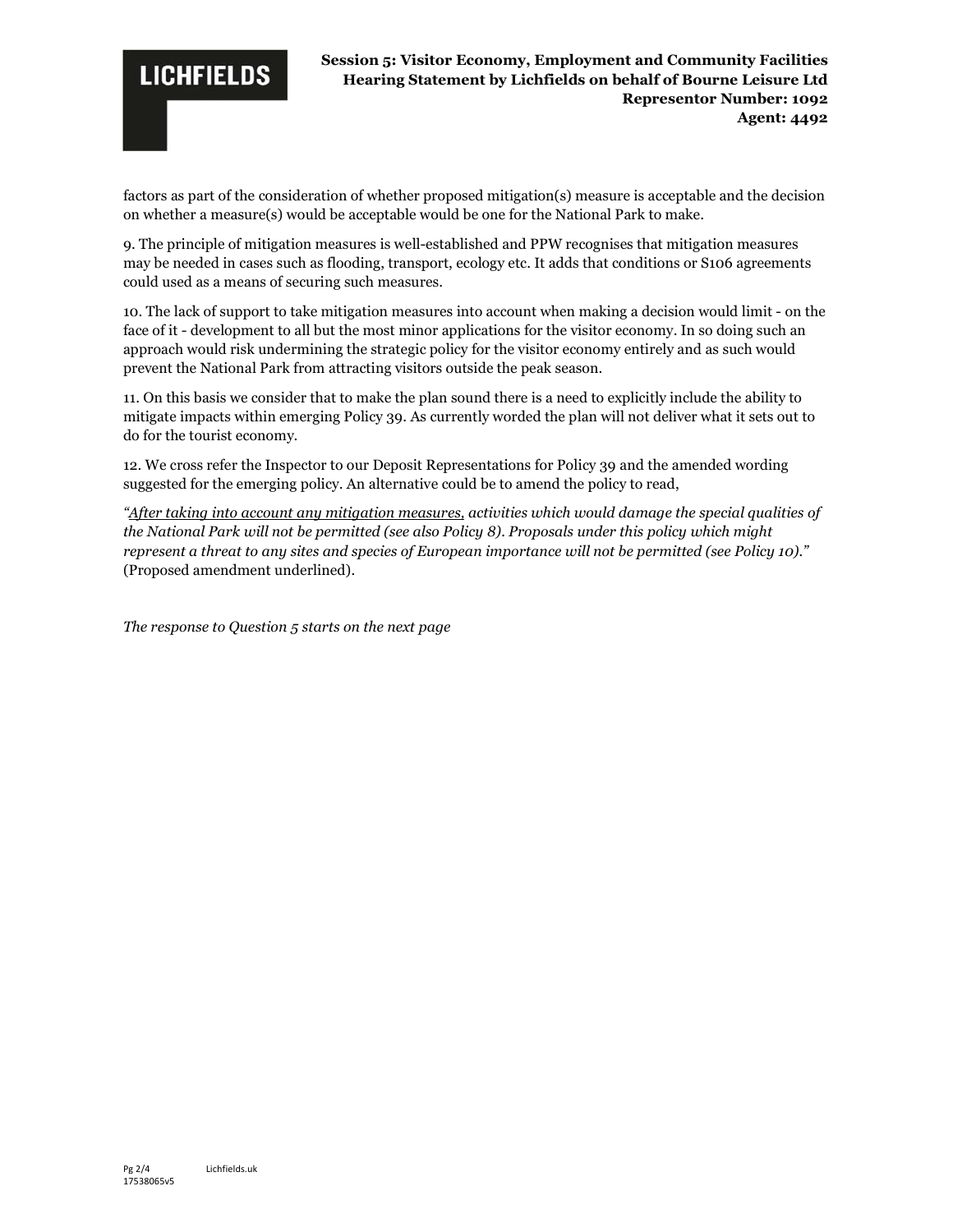## **LICHFIELDS**

factors as part of the consideration of whether proposed mitigation(s) measure is acceptable and the decision on whether a measure(s) would be acceptable would be one for the National Park to make.

9. The principle of mitigation measures is well-established and PPW recognises that mitigation measures may be needed in cases such as flooding, transport, ecology etc. It adds that conditions or S106 agreements could used as a means of securing such measures.

10. The lack of support to take mitigation measures into account when making a decision would limit - on the face of it - development to all but the most minor applications for the visitor economy. In so doing such an approach would risk undermining the strategic policy for the visitor economy entirely and as such would prevent the National Park from attracting visitors outside the peak season.

11. On this basis we consider that to make the plan sound there is a need to explicitly include the ability to mitigate impacts within emerging Policy 39. As currently worded the plan will not deliver what it sets out to do for the tourist economy.

12. We cross refer the Inspector to our Deposit Representations for Policy 39 and the amended wording suggested for the emerging policy. An alternative could be to amend the policy to read,

*"After taking into account any mitigation measures, activities which would damage the special qualities of the National Park will not be permitted (see also Policy 8). Proposals under this policy which might represent a threat to any sites and species of European importance will not be permitted (see Policy 10)."* (Proposed amendment underlined).

*The response to Question 5 starts on the next page*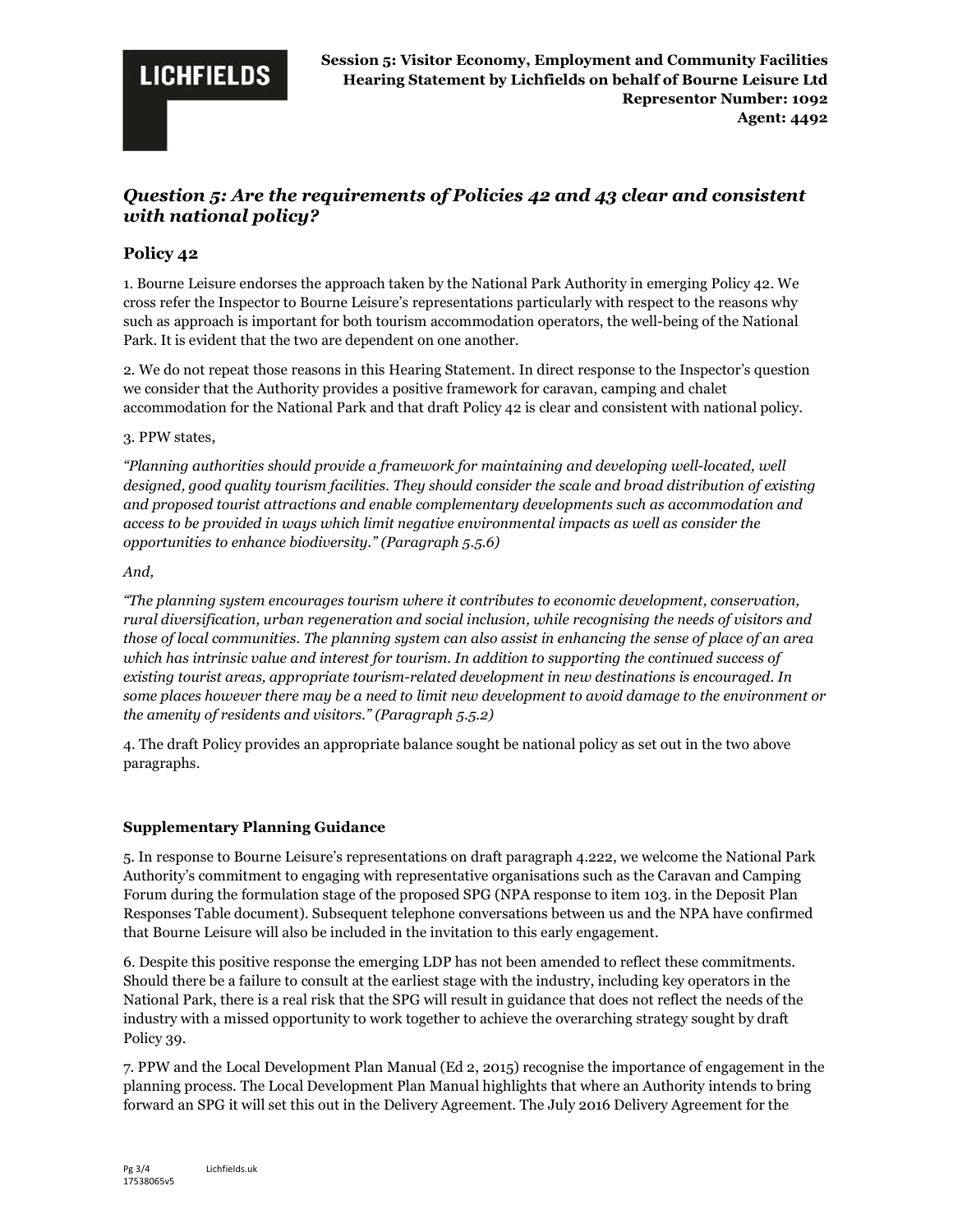## *Question 5: Are the requirements of Policies 42 and 43 clear and consistent with national policy?*

## **Policy 42**

1. Bourne Leisure endorses the approach taken by the National Park Authority in emerging Policy 42. We cross refer the Inspector to Bourne Leisure's representations particularly with respect to the reasons why such as approach is important for both tourism accommodation operators, the well-being of the National Park. It is evident that the two are dependent on one another.

2. We do not repeat those reasons in this Hearing Statement. In direct response to the Inspector's question we consider that the Authority provides a positive framework for caravan, camping and chalet accommodation for the National Park and that draft Policy 42 is clear and consistent with national policy.

#### 3. PPW states,

*"Planning authorities should provide a framework for maintaining and developing well-located, well designed, good quality tourism facilities. They should consider the scale and broad distribution of existing and proposed tourist attractions and enable complementary developments such as accommodation and access to be provided in ways which limit negative environmental impacts as well as consider the opportunities to enhance biodiversity." (Paragraph 5.5.6)* 

#### *And,*

*"The planning system encourages tourism where it contributes to economic development, conservation, rural diversification, urban regeneration and social inclusion, while recognising the needs of visitors and those of local communities. The planning system can also assist in enhancing the sense of place of an area which has intrinsic value and interest for tourism. In addition to supporting the continued success of existing tourist areas, appropriate tourism-related development in new destinations is encouraged. In some places however there may be a need to limit new development to avoid damage to the environment or the amenity of residents and visitors." (Paragraph 5.5.2)* 

4. The draft Policy provides an appropriate balance sought be national policy as set out in the two above paragraphs.

#### **Supplementary Planning Guidance**

5. In response to Bourne Leisure's representations on draft paragraph 4.222, we welcome the National Park Authority's commitment to engaging with representative organisations such as the Caravan and Camping Forum during the formulation stage of the proposed SPG (NPA response to item 103. in the Deposit Plan Responses Table document). Subsequent telephone conversations between us and the NPA have confirmed that Bourne Leisure will also be included in the invitation to this early engagement.

6. Despite this positive response the emerging LDP has not been amended to reflect these commitments. Should there be a failure to consult at the earliest stage with the industry, including key operators in the National Park, there is a real risk that the SPG will result in guidance that does not reflect the needs of the industry with a missed opportunity to work together to achieve the overarching strategy sought by draft Policy 39.

7. PPW and the Local Development Plan Manual (Ed 2, 2015) recognise the importance of engagement in the planning process. The Local Development Plan Manual highlights that where an Authority intends to bring forward an SPG it will set this out in the Delivery Agreement. The July 2016 Delivery Agreement for the